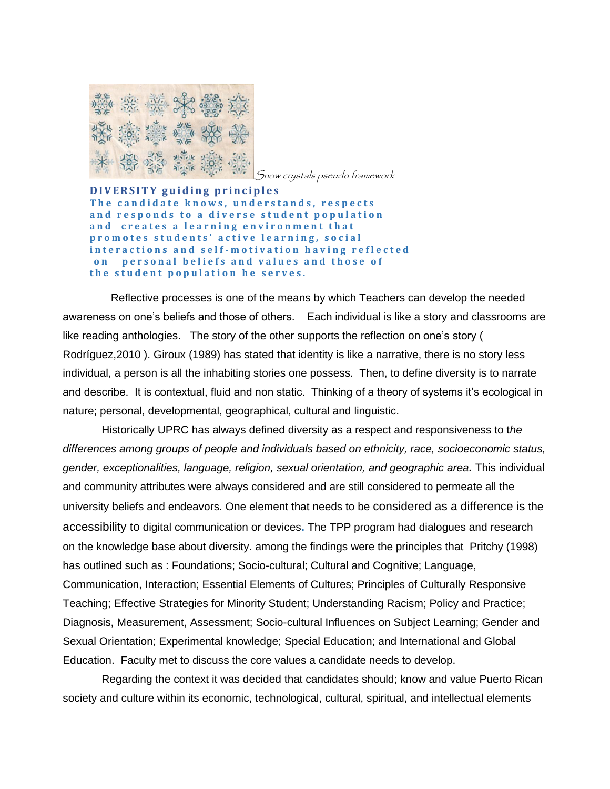

Snow crystals pseudo framework

**D I V E R S I T Y g u i d i n g p r i n c i p l e s** The candidate knows, understands, respects and responds to a diverse student population and creates a learning environment that **p r o m o t e s s t u d e n t s ' a c t i v e l e a r n i n g , s o c i a l**  interactions and self-motivation having reflected on personal beliefs and values and those of the student population he serves.

 Reflective processes is one of the means by which Teachers can develop the needed awareness on one's beliefs and those of others. Each individual is like a story and classrooms are like reading anthologies. The story of the other supports the reflection on one's story ( Rodríguez,2010 ). Giroux (1989) has stated that identity is like a narrative, there is no story less individual, a person is all the inhabiting stories one possess. Then, to define diversity is to narrate and describe. It is contextual, fluid and non static. Thinking of a theory of systems it's ecological in nature; personal, developmental, geographical, cultural and linguistic.

Historically UPRC has always defined diversity as a respect and responsiveness to t*he differences among groups of people and individuals based on ethnicity, race, socioeconomic status, gender, exceptionalities, language, religion, sexual orientation, and geographic area.* This individual and community attributes were always considered and are still considered to permeate all the university beliefs and endeavors. One element that needs to be considered as a difference is the accessibility to digital communication or devices**.** The TPP program had dialogues and research on the knowledge base about diversity. among the findings were the principles that Pritchy (1998) has outlined such as : Foundations; Socio-cultural; Cultural and Cognitive; Language, Communication, Interaction; Essential Elements of Cultures; Principles of Culturally Responsive Teaching; Effective Strategies for Minority Student; Understanding Racism; Policy and Practice; Diagnosis, Measurement, Assessment; Socio-cultural Influences on Subject Learning; Gender and Sexual Orientation; Experimental knowledge; Special Education; and International and Global Education. Faculty met to discuss the core values a candidate needs to develop.

Regarding the context it was decided that candidates should; know and value Puerto Rican society and culture within its economic, technological, cultural, spiritual, and intellectual elements